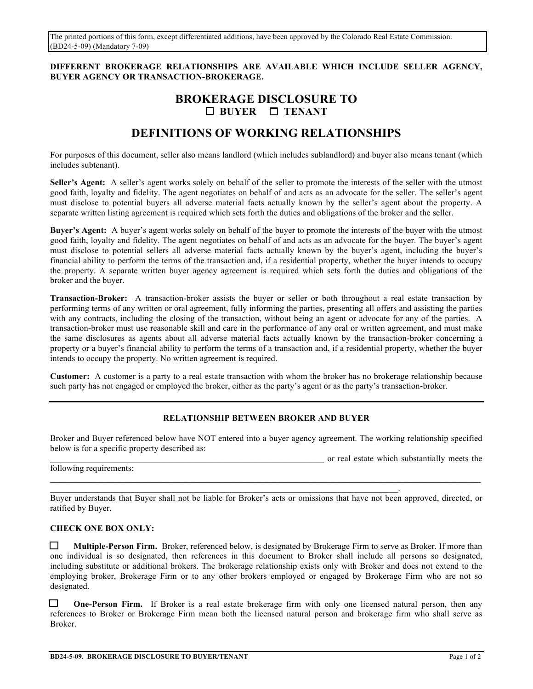The printed portions of this form, except differentiated additions, have been approved by the Colorado Real Estate Commission. (BD24-5-09) (Mandatory 7-09)

## **DIFFERENT BROKERAGE RELATIONSHIPS ARE AVAILABLE WHICH INCLUDE SELLER AGENCY, BUYER AGENCY OR TRANSACTION-BROKERAGE.**

## **BROKERAGE DISCLOSURE TO BUYER TENANT**

# **DEFINITIONS OF WORKING RELATIONSHIPS**

For purposes of this document, seller also means landlord (which includes sublandlord) and buyer also means tenant (which includes subtenant).

**Seller's Agent:** A seller's agent works solely on behalf of the seller to promote the interests of the seller with the utmost good faith, loyalty and fidelity. The agent negotiates on behalf of and acts as an advocate for the seller. The seller's agent must disclose to potential buyers all adverse material facts actually known by the seller's agent about the property. A separate written listing agreement is required which sets forth the duties and obligations of the broker and the seller.

**Buyer's Agent:** A buyer's agent works solely on behalf of the buyer to promote the interests of the buyer with the utmost good faith, loyalty and fidelity. The agent negotiates on behalf of and acts as an advocate for the buyer. The buyer's agent must disclose to potential sellers all adverse material facts actually known by the buyer's agent, including the buyer's financial ability to perform the terms of the transaction and, if a residential property, whether the buyer intends to occupy the property. A separate written buyer agency agreement is required which sets forth the duties and obligations of the broker and the buyer.

**Transaction-Broker:** A transaction-broker assists the buyer or seller or both throughout a real estate transaction by performing terms of any written or oral agreement, fully informing the parties, presenting all offers and assisting the parties with any contracts, including the closing of the transaction, without being an agent or advocate for any of the parties. A transaction-broker must use reasonable skill and care in the performance of any oral or written agreement, and must make the same disclosures as agents about all adverse material facts actually known by the transaction-broker concerning a property or a buyer's financial ability to perform the terms of a transaction and, if a residential property, whether the buyer intends to occupy the property. No written agreement is required.

**Customer:** A customer is a party to a real estate transaction with whom the broker has no brokerage relationship because such party has not engaged or employed the broker, either as the party's agent or as the party's transaction-broker.

## **RELATIONSHIP BETWEEN BROKER AND BUYER**

Broker and Buyer referenced below have NOT entered into a buyer agency agreement. The working relationship specified below is for a specific property described as:

or real estate which substantially meets the

following requirements:

Buyer understands that Buyer shall not be liable for Broker's acts or omissions that have not been approved, directed, or ratified by Buyer.

 $\_$  , and the state of the state of the state of the state of the state of the state of the state of the state of the state of the state of the state of the state of the state of the state of the state of the state of the

#### **CHECK ONE BOX ONLY:**

**Multiple-Person Firm.** Broker, referenced below, is designated by Brokerage Firm to serve as Broker. If more than one individual is so designated, then references in this document to Broker shall include all persons so designated, including substitute or additional brokers. The brokerage relationship exists only with Broker and does not extend to the employing broker, Brokerage Firm or to any other brokers employed or engaged by Brokerage Firm who are not so designated.

 **One-Person Firm.** If Broker is a real estate brokerage firm with only one licensed natural person, then any references to Broker or Brokerage Firm mean both the licensed natural person and brokerage firm who shall serve as Broker.